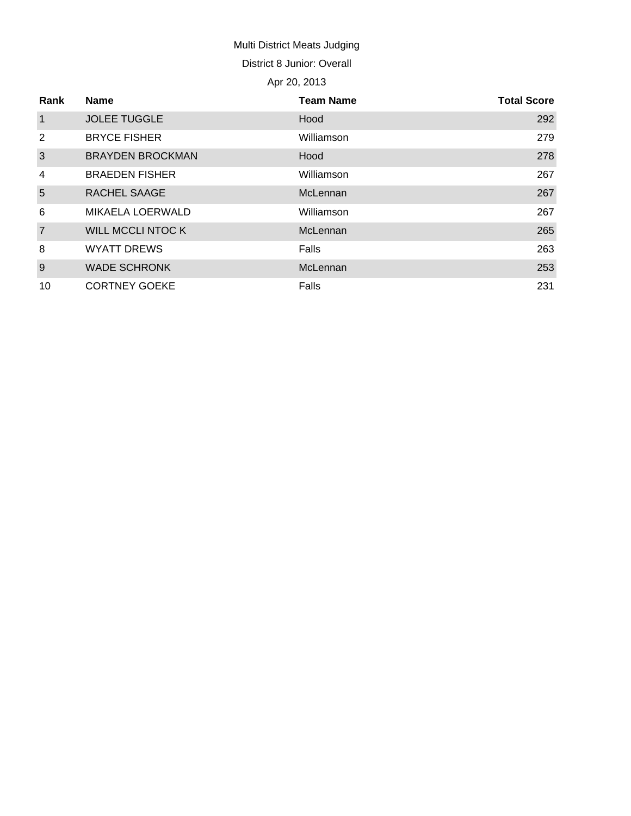# Multi District Meats Judging District 8 Junior: Overall

## Apr 20, 2013

| Rank           | <b>Name</b>              | <b>Team Name</b> | <b>Total Score</b> |
|----------------|--------------------------|------------------|--------------------|
| $\mathbf{1}$   | <b>JOLEE TUGGLE</b>      | Hood             | 292                |
| 2              | <b>BRYCE FISHER</b>      | Williamson       | 279                |
| 3              | <b>BRAYDEN BROCKMAN</b>  | Hood             | 278                |
| $\overline{4}$ | <b>BRAEDEN FISHER</b>    | Williamson       | 267                |
| 5              | <b>RACHEL SAAGE</b>      | McLennan         | 267                |
| 6              | MIKAELA LOERWALD         | Williamson       | 267                |
| $\overline{7}$ | <b>WILL MCCLI NTOC K</b> | McLennan         | 265                |
| 8              | <b>WYATT DREWS</b>       | Falls            | 263                |
| 9              | <b>WADE SCHRONK</b>      | McLennan         | 253                |
| 10             | <b>CORTNEY GOEKE</b>     | Falls            | 231                |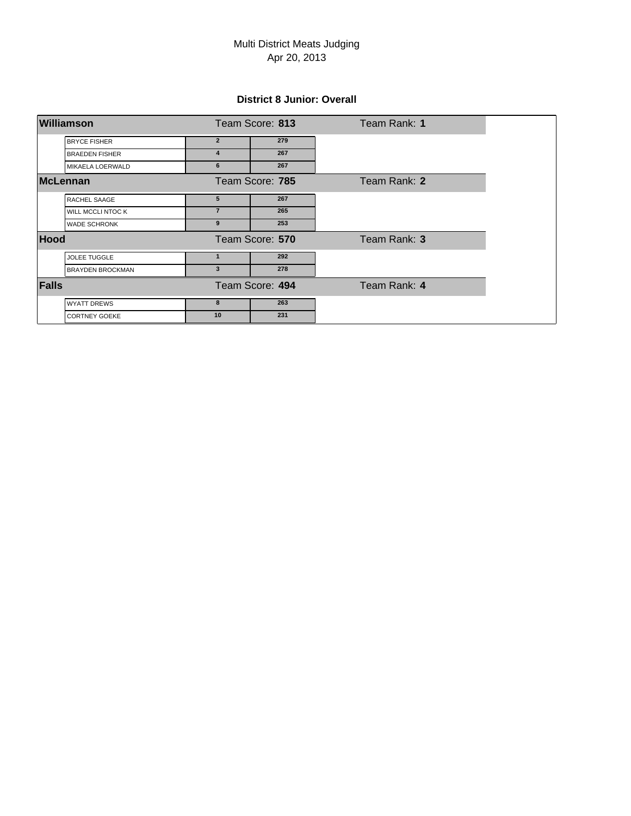## Apr 20, 2013 Multi District Meats Judging

#### **District 8 Junior: Overall**

| <b>Williamson</b>       |                | Team Score: 813 | Team Rank: 1 |
|-------------------------|----------------|-----------------|--------------|
| <b>BRYCE FISHER</b>     | $\overline{2}$ | 279             |              |
| <b>BRAEDEN FISHER</b>   | 4              | 267             |              |
| MIKAELA LOERWALD        | 6              | 267             |              |
| <b>McLennan</b>         |                | Team Score: 785 | Team Rank: 2 |
| RACHEL SAAGE            | 5              | 267             |              |
| WILL MCCLI NTOC K       | $\overline{7}$ | 265             |              |
| <b>WADE SCHRONK</b>     | 9              | 253             |              |
| <b>Hood</b>             |                | Team Score: 570 | Team Rank: 3 |
| <b>JOLEE TUGGLE</b>     |                | 292             |              |
| <b>BRAYDEN BROCKMAN</b> | 3              | 278             |              |
| <b>Falls</b>            |                | Team Score: 494 | Team Rank: 4 |
| <b>WYATT DREWS</b>      | 8              | 263             |              |
| <b>CORTNEY GOEKE</b>    | 10             | 231             |              |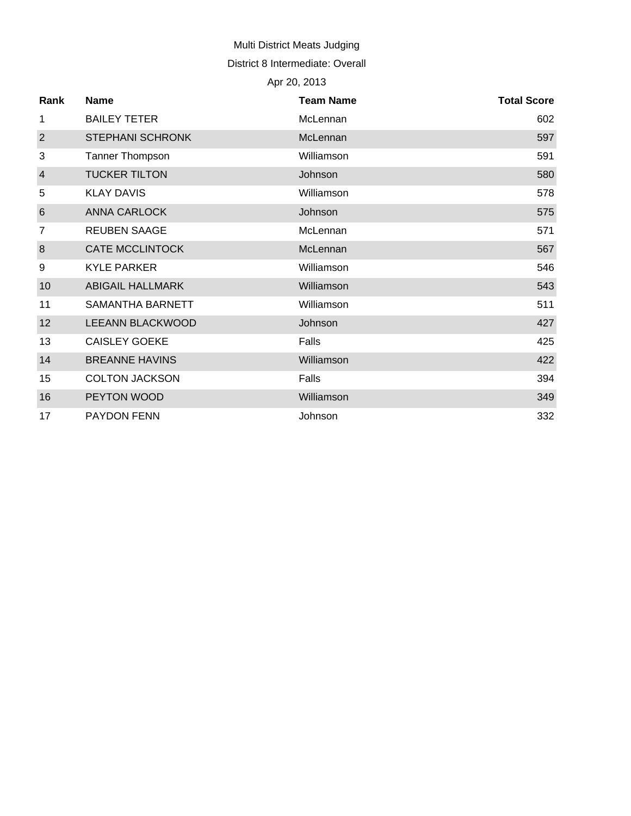## Multi District Meats Judging

#### District 8 Intermediate: Overall

# Apr 20, 2013

| Rank            | <b>Name</b>             | <b>Team Name</b> | <b>Total Score</b> |
|-----------------|-------------------------|------------------|--------------------|
| 1               | <b>BAILEY TETER</b>     | McLennan         | 602                |
| 2               | <b>STEPHANI SCHRONK</b> | McLennan         | 597                |
| 3               | Tanner Thompson         | Williamson       | 591                |
| $\overline{4}$  | <b>TUCKER TILTON</b>    | Johnson          | 580                |
| 5               | <b>KLAY DAVIS</b>       | Williamson       | 578                |
| $6\phantom{1}6$ | <b>ANNA CARLOCK</b>     | Johnson          | 575                |
| 7               | <b>REUBEN SAAGE</b>     | McLennan         | 571                |
| 8               | <b>CATE MCCLINTOCK</b>  | McLennan         | 567                |
| 9               | <b>KYLE PARKER</b>      | Williamson       | 546                |
| 10              | <b>ABIGAIL HALLMARK</b> | Williamson       | 543                |
| 11              | SAMANTHA BARNETT        | Williamson       | 511                |
| 12              | <b>LEEANN BLACKWOOD</b> | Johnson          | 427                |
| 13              | <b>CAISLEY GOEKE</b>    | Falls            | 425                |
| 14              | <b>BREANNE HAVINS</b>   | Williamson       | 422                |
| 15              | <b>COLTON JACKSON</b>   | Falls            | 394                |
| 16              | PEYTON WOOD             | Williamson       | 349                |
| 17              | <b>PAYDON FENN</b>      | Johnson          | 332                |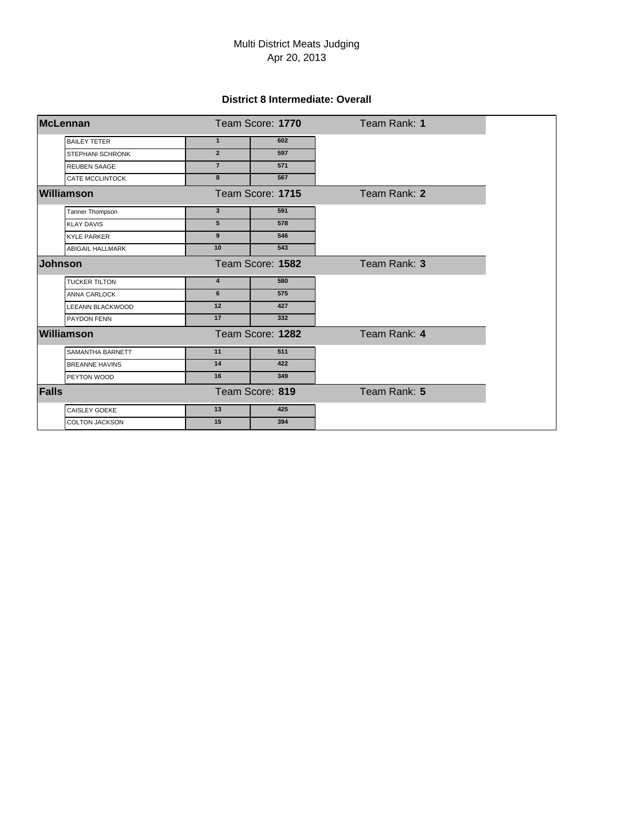## Apr 20, 2013 Multi District Meats Judging

#### **District 8 Intermediate: Overall**

| <b>McLennan</b>         | Team Score: 1770        |                  | Team Rank: 1 |
|-------------------------|-------------------------|------------------|--------------|
| <b>BAILEY TETER</b>     | $\mathbf{1}$            | 602              |              |
| <b>STEPHANI SCHRONK</b> | $\overline{2}$          | 597              |              |
| <b>REUBEN SAAGE</b>     | $\overline{7}$          | 571              |              |
| <b>CATE MCCLINTOCK</b>  | 8                       | 567              |              |
| Williamson              |                         | Team Score: 1715 | Team Rank: 2 |
| Tanner Thompson         | $\mathbf{3}$            | 591              |              |
| <b>KLAY DAVIS</b>       | 5                       | 578              |              |
| <b>KYLE PARKER</b>      | $\boldsymbol{9}$        | 546              |              |
| <b>ABIGAIL HALLMARK</b> | 10                      | 543              |              |
| <b>Johnson</b>          | Team Score: 1582        |                  | Team Rank: 3 |
| <b>TUCKER TILTON</b>    | $\overline{\mathbf{4}}$ | 580              |              |
| ANNA CARLOCK            | 6                       | 575              |              |
| LEEANN BLACKWOOD        | 12                      | 427              |              |
| PAYDON FENN             | 17                      | $\frac{1}{332}$  |              |
| <b>Williamson</b>       |                         | Team Score: 1282 | Team Rank: 4 |
| SAMANTHA BARNETT        | 11                      | 511              |              |
| <b>BREANNE HAVINS</b>   | 14                      | 422              |              |
| PEYTON WOOD             | 16                      | 349              |              |
| <b>Falls</b>            |                         | Team Score: 819  | Team Rank: 5 |
| <b>CAISLEY GOEKE</b>    | 13                      | 425              |              |
| <b>COLTON JACKSON</b>   | 15                      | 394              |              |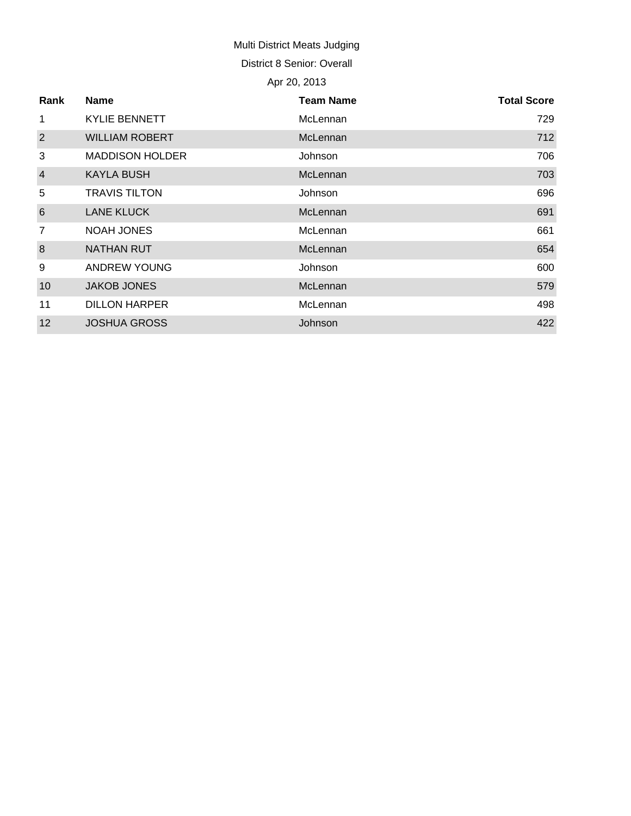# Multi District Meats Judging

District 8 Senior: Overall

# Apr 20, 2013

| Rank            | <b>Name</b>            | <b>Team Name</b> | <b>Total Score</b> |
|-----------------|------------------------|------------------|--------------------|
| 1               | <b>KYLIE BENNETT</b>   | McLennan         | 729                |
| $\overline{2}$  | <b>WILLIAM ROBERT</b>  | McLennan         | 712                |
| 3               | <b>MADDISON HOLDER</b> | Johnson          | 706                |
| $\overline{a}$  | <b>KAYLA BUSH</b>      | McLennan         | 703                |
| 5               | <b>TRAVIS TILTON</b>   | Johnson          | 696                |
| $6\phantom{1}6$ | <b>LANE KLUCK</b>      | McLennan         | 691                |
| $\overline{7}$  | <b>NOAH JONES</b>      | McLennan         | 661                |
| 8               | <b>NATHAN RUT</b>      | McLennan         | 654                |
| 9               | <b>ANDREW YOUNG</b>    | Johnson          | 600                |
| 10              | <b>JAKOB JONES</b>     | McLennan         | 579                |
| 11              | <b>DILLON HARPER</b>   | McLennan         | 498                |
| 12              | <b>JOSHUA GROSS</b>    | Johnson          | 422                |